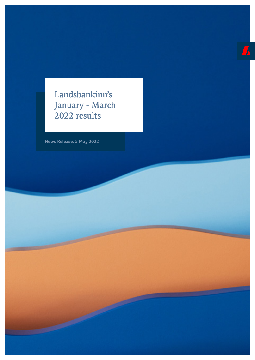Landsbankinn's January - March 2022 results

 $\sqrt{2}$ 

**News Release, 5 May 2022**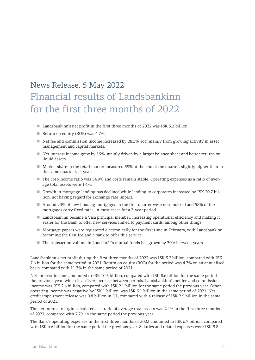# News Release, 5 May 2022 Financial results of Landsbankinn for the first three months of 2022

- Landsbankinn's net profit in the first three months of 2022 was ISK 3.2 billion.
- Return on equity (ROE) was 4.7%.
- Net fee and commission income increased by 28.5% YoY, mainly from growing activity in asset management and capital markets.
- Net interest income grew by 19%, mainly driven by a larger balance sheet and better returns on liquid assets.
- Market share in the retail market measured 39% at the end of the quarter, slightly higher than in the same quarter last year.
- The cost/income ratio was 54.9% and costs remain stable. Operating expenses as a ratio of average total assets were 1.4%.
- Growth in mortgage lending has declined while lending to corporates increased by ISK 20.7 billion, not having regard for exchange rate impact.
- Around 90% of new housing mortgages in the first quarter were non-indexed and 58% of the mortgages carry fixed rates, in most cases for a 3-year period.
- Landsbankinn became a Visa principal member, increasing operational efficiency and making it easier for the Bank to offer new services linked to payment cards, among other things.
- Mortgage papers were registered electronically for the first time in February, with Landsbankinn becoming the first Icelandic bank to offer this service.
- The transaction volume in Landsbréf's mutual funds has grown by 30% between years.

Landsbankinn's net profit during the first three months of 2022 was ISK 3.2 billion, compared with ISK 7.6 billion for the same period in 2021. Return on equity (ROE) for the period was 4.7% on an annualised basis, compared with 11.7% in the same period of 2021.

Net interest income amounted to ISK 10.3 billion, compared with ISK 8.6 billion for the same period the previous year, which is an 19% increase between periods. Landsbankinn's net fee and commission income was ISK 2.6 billion, compared with ISK 2.1 billion for the same period the previous year. Other operating income was negative by ISK 1 billion; was ISK 5.1 billion in the same period of 2021. Net credit impairment release was 0.8 billion in Q1, compared with a release of ISK 2.5 billion in the same period of 2021.

The net interest margin calculated as a ratio of average total assets was 2.4% in the first three months of 2022, compared with 2.2% in the same period the previous year.

The Bank's operating expenses in the first three months of 2022 amounted to ISK 6.7 billion, compared with ISK 6.6 billion for the same period the previous year. Salaries and related expenses were ISK 3.8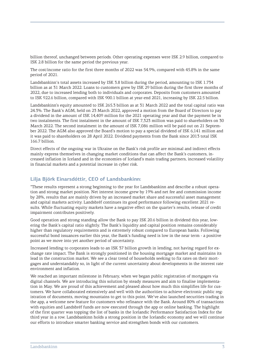billion thereof, unchanged between periods. Other operating expenses were ISK 2.9 billion, compared to ISK 2.8 billion for the same period the previous year.

The cost/income ratio for the first three months of 2022 was 54.9%, compared with 45.8% in the same period of 2021.

Landsbankinn's total assets increased by ISK 3.8 billion during the period, amounting to ISK 1.734 billion as at 31 March 2022. Loans to customers grew by ISK 29 billion during the first three months of 2022, due to increased lending both to individuals and corporates. Deposits from customers amounted to ISK 922.6 billion, compared with ISK 900.1 billion at year-end 2021, increasing by ISK 22.5 billion.

Landsbankinn's equity amounted to ISK 265.3 billion as at 31 March 2022 and the total capital ratio was 24.3%. The Bank's AGM, held on 23 March 2022, approved a motion from the Board of Directors to pay a dividend in the amount of ISK 14,409 million for the 2021 operating year and that the payment be in two instalments. The first instalment in the amount of ISK 7,323 million was paid to shareholders on 30 March 2022. The second instalment in the amount of ISK 7,086 million will be paid out on 21 September 2022. The AGM also approved the Board's motion to pay a special dividend of ISK 6,141 million and it was paid to shareholders on 28 April 2022. Dividend payments from the Bank since 2013 total ISK 166.7 billion.

Direct effects of the ongoing war in Ukraine on the Bank's risk profile are minimal and indirect effects mainly express themselves in changing market conditions that can affect the Bank's customers, increased inflation in Iceland and in the economies of Iceland's main trading partners, increased volatility in financial markets and a potential increase in cyber risk.

### **Lilja Björk Einarsdóttir, CEO of Landsbankinn:**

"These results represent a strong beginning to the year for Landsbankinn and describe a robust operation and strong market position. Net interest income grew by 19% and net fee and commission income by 28%, results that are mainly driven by an increased market share and successful asset management and capital markets activity. Landsbréf continues its good performance following excellent 2021 results. While fluctuating equity markets have a negative effect on the quarter's results, release of credit impairment contributes positively.

Good operation and strong standing allow the Bank to pay ISK 20.6 billion in dividend this year, lowering the Bank's capital ratio slightly. The Bank's liquidity and capital position remains considerably higher than regulatory requirements and is extremely robust compared to European banks. Following successful bond issuances earlier this year, the Bank's funding need is low in the near term - a positive point as we move into yet another period of uncertainty.

Increased lending to corporates leads to an ISK 37 billion growth in lending, not having regard for exchange rate impact. The Bank is strongly positioned in the housing mortgage market and maintains its lead in the construction market. We see a clear trend of households seeking to fix rates on their mortgages and understandably so, in light of the current uncertainty about developments in the interest rate environment and inflation.

We reached an important milestone in February, when we began public registration of mortgages via digital channels. We are introducing this solution by steady measures and aim to finalise implementation in May. We are proud of this achievement and pleased about how much this simplifies life for customers. We have collaborated extensively and well with the authorities to achieve electronic public registration of documents, moving mountains to get to this point. We've also launched securities trading in the app, a welcome new feature for customers who refinance with the Bank. Around 80% of transactions with equities and Landsbréf funds are now executed through the app or online banking. The highlight of the first quarter was topping the list of banks in the Icelandic Performance Satisfaction Index for the third year in a row. Landsbankinn holds a strong position in the Icelandic economy and we will continue our efforts to introduce smarter banking service and strengthen bonds with our customers.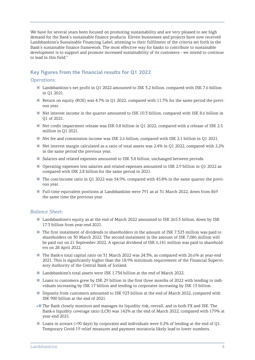We have for several years been focused on promoting sustainability and are very pleased to see high demand for the Bank's sustainable finance products. Eleven businesses and projects have now received Landsbankinn's Sustainable Financing Label, attesting to their fulfilment of the criteria set forth in the Bank's sustainable finance framework. The most effective way for banks to contribute to sustainable development is to support and promote increased sustainability of its customers - we intend to continue to lead in this field."

## **Key figures from the financial results for Q1 2022**

#### *Operations:*

- Landsbankinn's net profit in Q1 2022 amounted to ISK 3.2 billion, compared with ISK 7.6 billion in Q1 2021.
- Return on equity (ROE) was 4.7% in Q1 2022, compared with 11.7% for the same period the previous year.
- Net interest income in the quarter amounted to ISK 10.3 billion, compared with ISK 8.6 billion in Q1 of 2021.
- Net credit impairment release was ISK 0.8 billion in O1 2022, compared with a release of ISK 2.5 million in Q1 2021.
- Net fee and commission income was ISK 2.6 billion, compared with ISK 2.1 billion in Q1 2021.
- Net interest margin calculated as a ratio of total assets was 2.4% in Q1 2022, compared with 2.2% in the same period the previous year.
- Salaries and related expenses amounted to ISK 3.8 billion, unchanged between periods.
- Operating expenses less salaries and related expenses amounted to ISK 2.9 billion in Q1 2022 as compared with ISK 2.8 billion for the same period in 2021.
- The cost/income ratio in Q1 2022 was 54.9%, compared with 45.8% in the same quarter the previous year.
- Full-time equivalent positions at Landsbankinn were 791 as at 31 March 2022, down from 869 the same time the previous year.

#### *Balance Sheet:*

- Landsbankinn's equity as at the end of March 2022 amounted to ISK 265.3 billion, down by ISK 17.3 billion from year-end 2021.
- The first instalment of dividends to shareholders in the amount of ISK 7,323 million was paid to shareholders on 30 March 2022. The second instalment in the amount of ISK 7,086 million will be paid out on 21 September 2022. A special dividend of ISK 6,141 million was paid to shareholders on 28 April 2022.
- The Bank>s total capital ratio on 31 March 2022 was 24.3%, as compared with 26.6% at year-end 2021. This is significantly higher than the 18.9% minimum requirement of the Financial Supervisory Authority of the Central Bank of Iceland.
- Landsbankinn's total assets were ISK 1.734 billion at the end of March 2022.
- Loans to customers grew by ISK 29 billion in the first three months of 2022 with lending to individuals increasing by ISK 17 billion and lending to corporates increasing by ISK 13 billion.
- Deposits from customers amounted to ISK 923 billion at the end of March 2022, compared with ISK 900 billion at the end of 2021.
- »■ The Bank closely monitors and manages its liquidity risk, overall, and in both FX and ISK. The Bank›s liquidity coverage ratio (LCR) was 142% at the end of March 2022, compared with 179% at year-end 2021.
- Loans in arrears (>90 days) by corporates and individuals were 0.2% of lending at the end of Q1. Temporary Covid-19 relief measures and payment moratoria likely lead to lower numbers.